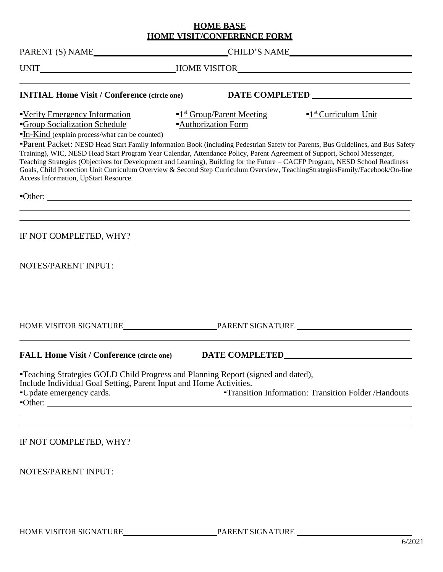## **HOME BASE HOME VISIT/CONFERENCE FORM**

| <b>INITIAL Home Visit / Conference (circle one)</b>                                                                                                                                                                                                                                                                                                                                                                                                                                                                                                                                                                                                                                               |                                                                           |                                                            |
|---------------------------------------------------------------------------------------------------------------------------------------------------------------------------------------------------------------------------------------------------------------------------------------------------------------------------------------------------------------------------------------------------------------------------------------------------------------------------------------------------------------------------------------------------------------------------------------------------------------------------------------------------------------------------------------------------|---------------------------------------------------------------------------|------------------------------------------------------------|
| -Verify Emergency Information<br><b>-Group Socialization Schedule</b><br>-In-Kind (explain process/what can be counted)<br>Parent Packet: NESD Head Start Family Information Book (including Pedestrian Safety for Parents, Bus Guidelines, and Bus Safety<br>Training), WIC, NESD Head Start Program Year Calendar, Attendance Policy, Parent Agreement of Support, School Messenger,<br>Teaching Strategies (Objectives for Development and Learning), Building for the Future - CACFP Program, NESD School Readiness<br>Goals, Child Protection Unit Curriculum Overview & Second Step Curriculum Overview, TeachingStrategiesFamily/Facebook/On-line<br>Access Information, UpStart Resource. | $\blacksquare$ <sup>1st</sup> Group/Parent Meeting<br>-Authorization Form | $\blacksquare$ <sup>1st</sup> Curriculum Unit              |
| "Other:                                                                                                                                                                                                                                                                                                                                                                                                                                                                                                                                                                                                                                                                                           |                                                                           |                                                            |
| IF NOT COMPLETED, WHY?<br><b>NOTES/PARENT INPUT:</b>                                                                                                                                                                                                                                                                                                                                                                                                                                                                                                                                                                                                                                              |                                                                           |                                                            |
|                                                                                                                                                                                                                                                                                                                                                                                                                                                                                                                                                                                                                                                                                                   |                                                                           |                                                            |
| <b>FALL Home Visit / Conference (circle one)</b>                                                                                                                                                                                                                                                                                                                                                                                                                                                                                                                                                                                                                                                  |                                                                           |                                                            |
| "Teaching Strategies GOLD Child Progress and Planning Report (signed and dated),<br>Include Individual Goal Setting, Parent Input and Home Activities.<br>-Update emergency cards.<br>-Other:<br>the control of the control of the control of the control of the control of the control of the control of the control of the control of the control of the control of the control of the control of the control of the control                                                                                                                                                                                                                                                                    |                                                                           | <b>-Transition Information: Transition Folder/Handouts</b> |
| IF NOT COMPLETED, WHY?                                                                                                                                                                                                                                                                                                                                                                                                                                                                                                                                                                                                                                                                            |                                                                           |                                                            |

NOTES/PARENT INPUT: